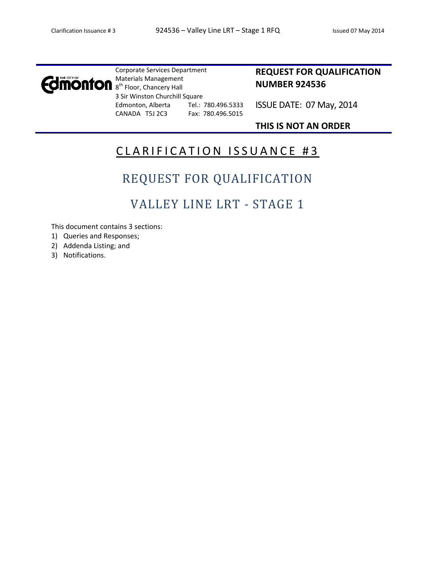

Corporate Services Department Materials Management 8<sup>th</sup> Floor, Chancery Hall 3 Sir Winston Churchill Square Edmonton, Alberta Tel.: 780.496.5333 CANADA T5J 2C3 Fax: 780.496.5015

### **REQUEST FOR QUALIFICATION NUMBER 924536**

ISSUE DATE: 07 May, 2014

### **THIS IS NOT AN ORDER**

## CLARIFICATION ISSUANCE #3

# REQUEST FOR QUALIFICATION

## VALLEY LINE LRT - STAGE 1

This document contains 3 sections:

- 1) Queries and Responses;
- 2) Addenda Listing; and
- 3) Notifications.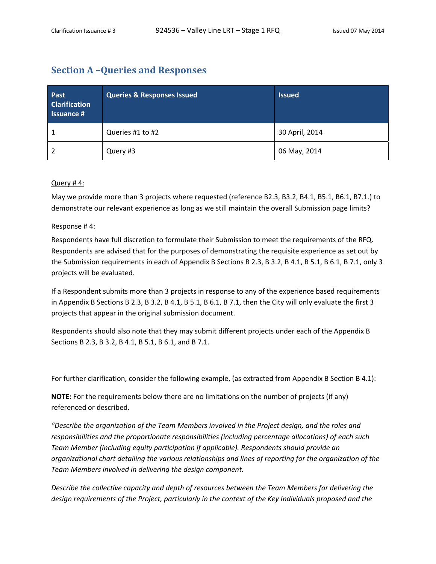### **Section A –Queries and Responses**

| Past<br><b>Clarification</b><br><b>Issuance #</b> | <b>Queries &amp; Responses Issued</b> | <b>Issued</b>  |
|---------------------------------------------------|---------------------------------------|----------------|
|                                                   | Queries #1 to #2                      | 30 April, 2014 |
|                                                   | Query #3                              | 06 May, 2014   |

#### Query # 4:

May we provide more than 3 projects where requested (reference B2.3, B3.2, B4.1, B5.1, B6.1, B7.1.) to demonstrate our relevant experience as long as we still maintain the overall Submission page limits?

#### Response # 4:

Respondents have full discretion to formulate their Submission to meet the requirements of the RFQ. Respondents are advised that for the purposes of demonstrating the requisite experience as set out by the Submission requirements in each of Appendix B Sections B 2.3, B 3.2, B 4.1, B 5.1, B 6.1, B 7.1, only 3 projects will be evaluated.

If a Respondent submits more than 3 projects in response to any of the experience based requirements in Appendix B Sections B 2.3, B 3.2, B 4.1, B 5.1, B 6.1, B 7.1, then the City will only evaluate the first 3 projects that appear in the original submission document.

Respondents should also note that they may submit different projects under each of the Appendix B Sections B 2.3, B 3.2, B 4.1, B 5.1, B 6.1, and B 7.1.

For further clarification, consider the following example, (as extracted from Appendix B Section B 4.1):

**NOTE:** For the requirements below there are no limitations on the number of projects (if any) referenced or described.

*"Describe the organization of the Team Members involved in the Project design, and the roles and responsibilities and the proportionate responsibilities (including percentage allocations) of each such Team Member (including equity participation if applicable). Respondents should provide an organizational chart detailing the various relationships and lines of reporting for the organization of the Team Members involved in delivering the design component.*

*Describe the collective capacity and depth of resources between the Team Members for delivering the design requirements of the Project, particularly in the context of the Key Individuals proposed and the*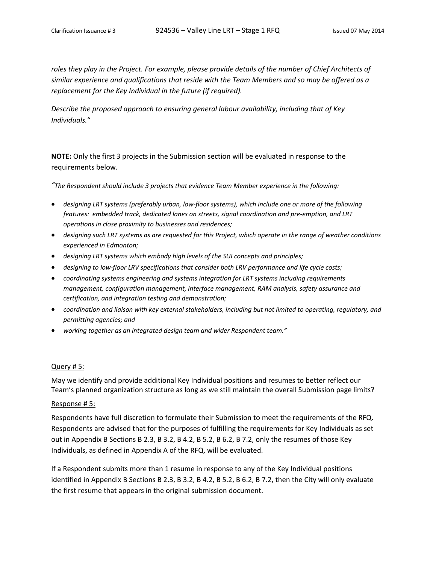roles they play in the Project. For example, please provide details of the number of Chief Architects of *similar experience and qualifications that reside with the Team Members and so may be offered as a replacement for the Key Individual in the future (if required).* 

*Describe the proposed approach to ensuring general labour availability, including that of Key Individuals.*"

**NOTE:** Only the first 3 projects in the Submission section will be evaluated in response to the requirements below.

*"The Respondent should include 3 projects that evidence Team Member experience in the following:*

- *designing LRT systems (preferably urban, low‐floor systems), which include one or more of the following features: embedded track, dedicated lanes on streets, signal coordination and pre‐emption, and LRT operations in close proximity to businesses and residences;*
- designing such LRT systems as are requested for this Project, which operate in the range of weather conditions *experienced in Edmonton;*
- *designing LRT systems which embody high levels of the SUI concepts and principles;*
- *designing to low‐floor LRV specifications that consider both LRV performance and life cycle costs;*
- *coordinating systems engineering and systems integration for LRT systems including requirements management, configuration management, interface management, RAM analysis, safety assurance and certification, and integration testing and demonstration;*
- *coordination and liaison with key external stakeholders, including but not limited to operating, regulatory, and permitting agencies; and*
- *working together as an integrated design team and wider Respondent team."*

#### Query # 5:

May we identify and provide additional Key Individual positions and resumes to better reflect our Team's planned organization structure as long as we still maintain the overall Submission page limits?

#### Response # 5:

Respondents have full discretion to formulate their Submission to meet the requirements of the RFQ. Respondents are advised that for the purposes of fulfilling the requirements for Key Individuals as set out in Appendix B Sections B 2.3, B 3.2, B 4.2, B 5.2, B 6.2, B 7.2, only the resumes of those Key Individuals, as defined in Appendix A of the RFQ, will be evaluated.

If a Respondent submits more than 1 resume in response to any of the Key Individual positions identified in Appendix B Sections B 2.3, B 3.2, B 4.2, B 5.2, B 6.2, B 7.2, then the City will only evaluate the first resume that appears in the original submission document.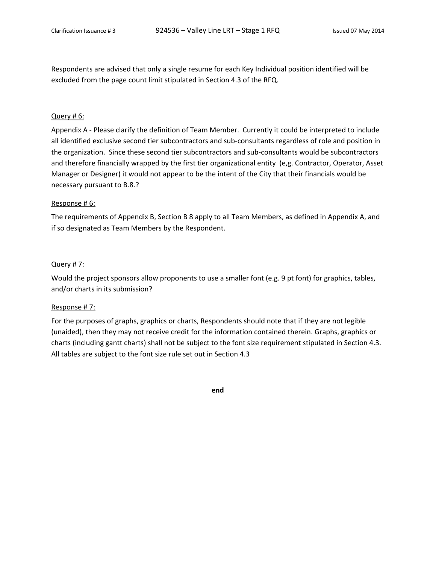Respondents are advised that only a single resume for each Key Individual position identified will be excluded from the page count limit stipulated in Section 4.3 of the RFQ.

#### Query # 6:

Appendix A ‐ Please clarify the definition of Team Member. Currently it could be interpreted to include all identified exclusive second tier subcontractors and sub‐consultants regardless of role and position in the organization. Since these second tier subcontractors and sub‐consultants would be subcontractors and therefore financially wrapped by the first tier organizational entity (e,g. Contractor, Operator, Asset Manager or Designer) it would not appear to be the intent of the City that their financials would be necessary pursuant to B.8.?

#### Response # 6:

The requirements of Appendix B, Section B 8 apply to all Team Members, as defined in Appendix A, and if so designated as Team Members by the Respondent.

#### Query # 7:

Would the project sponsors allow proponents to use a smaller font (e.g. 9 pt font) for graphics, tables, and/or charts in its submission?

#### Response # 7:

For the purposes of graphs, graphics or charts, Respondents should note that if they are not legible (unaided), then they may not receive credit for the information contained therein. Graphs, graphics or charts (including gantt charts) shall not be subject to the font size requirement stipulated in Section 4.3. All tables are subject to the font size rule set out in Section 4.3

**end**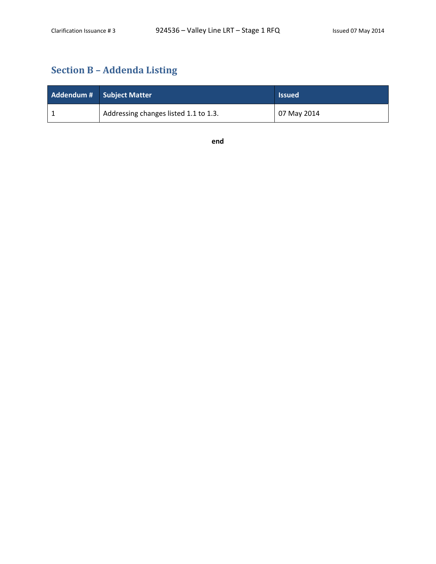## **Section B – Addenda Listing**

| Addendum # Subject Matter             | <b>Issued</b> |
|---------------------------------------|---------------|
| Addressing changes listed 1.1 to 1.3. | 07 May 2014   |

**end**